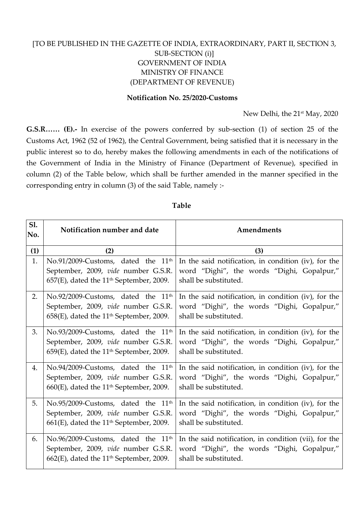# [TO BE PUBLISHED IN THE GAZETTE OF INDIA, EXTRAORDINARY, PART II, SECTION 3, SUB-SECTION (i)] GOVERNMENT OF INDIA MINISTRY OF FINANCE (DEPARTMENT OF REVENUE)

#### **Notification No. 25/2020-Customs**

New Delhi, the 21<sup>st</sup> May, 2020

**G.S.R…… (E).-** In exercise of the powers conferred by sub-section (1) of section 25 of the Customs Act, 1962 (52 of 1962), the Central Government, being satisfied that it is necessary in the public interest so to do, hereby makes the following amendments in each of the notifications of the Government of India in the Ministry of Finance (Department of Revenue), specified in column (2) of the Table below, which shall be further amended in the manner specified in the corresponding entry in column (3) of the said Table, namely :-

## **Table**

| S1.<br>No. | Notification number and date                                                                                                                    | Amendments                                                                                                                   |
|------------|-------------------------------------------------------------------------------------------------------------------------------------------------|------------------------------------------------------------------------------------------------------------------------------|
| (1)        | (2)                                                                                                                                             | (3)                                                                                                                          |
| 1.         | No.91/2009-Customs, dated the 11 <sup>th</sup><br>September, 2009, vide number G.S.R.<br>657(E), dated the 11 <sup>th</sup> September, 2009.    | In the said notification, in condition (iv), for the<br>word "Dighi", the words "Dighi, Gopalpur,"<br>shall be substituted.  |
| 2.         | No.92/2009-Customs, dated the 11 <sup>th</sup><br>September, 2009, vide number G.S.R.<br>$658(E)$ , dated the 11 <sup>th</sup> September, 2009. | In the said notification, in condition (iv), for the<br>word "Dighi", the words "Dighi, Gopalpur,"<br>shall be substituted.  |
| 3.         | No.93/2009-Customs, dated the 11 <sup>th</sup><br>September, 2009, vide number G.S.R.<br>$659(E)$ , dated the 11 <sup>th</sup> September, 2009. | In the said notification, in condition (iv), for the<br>word "Dighi", the words "Dighi, Gopalpur,"<br>shall be substituted.  |
| 4.         | No.94/2009-Customs, dated the 11 <sup>th</sup><br>September, 2009, vide number G.S.R.<br>660(E), dated the 11 <sup>th</sup> September, 2009.    | In the said notification, in condition (iv), for the<br>word "Dighi", the words "Dighi, Gopalpur,"<br>shall be substituted.  |
| 5.         | No.95/2009-Customs, dated the 11 <sup>th</sup><br>September, 2009, vide number G.S.R.<br>$661(E)$ , dated the 11 <sup>th</sup> September, 2009. | In the said notification, in condition (iv), for the<br>word "Dighi", the words "Dighi, Gopalpur,"<br>shall be substituted.  |
| 6.         | No.96/2009-Customs, dated the 11 <sup>th</sup><br>September, 2009, vide number G.S.R.<br>$662(E)$ , dated the 11 <sup>th</sup> September, 2009. | In the said notification, in condition (vii), for the<br>word "Dighi", the words "Dighi, Gopalpur,"<br>shall be substituted. |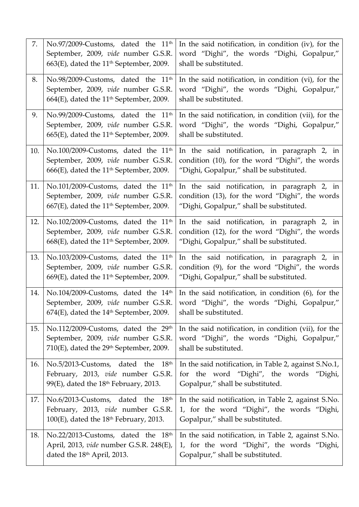| 7.  | No.97/2009-Customs, dated the 11 <sup>th</sup><br>September, 2009, vide number G.S.R.                                               | In the said notification, in condition (iv), for the<br>word "Dighi", the words "Dighi, Gopalpur,"                                         |
|-----|-------------------------------------------------------------------------------------------------------------------------------------|--------------------------------------------------------------------------------------------------------------------------------------------|
|     | 663(E), dated the 11 <sup>th</sup> September, 2009.                                                                                 | shall be substituted.                                                                                                                      |
| 8.  | No.98/2009-Customs, dated the 11 <sup>th</sup>                                                                                      | In the said notification, in condition (vi), for the                                                                                       |
|     | September, 2009, vide number G.S.R.<br>664(E), dated the $11th$ September, 2009.                                                    | word "Dighi", the words "Dighi, Gopalpur,"<br>shall be substituted.                                                                        |
| 9.  | No.99/2009-Customs, dated the 11 <sup>th</sup>                                                                                      | In the said notification, in condition (vii), for the                                                                                      |
|     | September, 2009, vide number G.S.R.<br>665(E), dated the 11 <sup>th</sup> September, 2009.                                          | word "Dighi", the words "Dighi, Gopalpur,"<br>shall be substituted.                                                                        |
| 10. | No.100/2009-Customs, dated the 11 <sup>th</sup>                                                                                     | In the said notification, in paragraph 2, in                                                                                               |
|     | September, 2009, vide number G.S.R.<br>$666$ (E), dated the 11 <sup>th</sup> September, 2009.                                       | condition (10), for the word "Dighi", the words<br>"Dighi, Gopalpur," shall be substituted.                                                |
| 11. | No.101/2009-Customs, dated the 11 <sup>th</sup>                                                                                     | In the said notification, in paragraph 2, in<br>condition (13), for the word "Dighi", the words                                            |
|     | September, 2009, vide number G.S.R.<br>667(E), dated the 11 <sup>th</sup> September, 2009.                                          | "Dighi, Gopalpur," shall be substituted.                                                                                                   |
| 12. | No.102/2009-Customs, dated the 11 <sup>th</sup>                                                                                     | In the said notification, in paragraph 2, in                                                                                               |
|     | September, 2009, vide number G.S.R.<br>668(E), dated the 11 <sup>th</sup> September, 2009.                                          | condition (12), for the word "Dighi", the words<br>"Dighi, Gopalpur," shall be substituted.                                                |
| 13. | No.103/2009-Customs, dated the 11 <sup>th</sup><br>September, 2009, vide number G.S.R.<br>669(E), dated the $11th$ September, 2009. | In the said notification, in paragraph 2, in<br>condition (9), for the word "Dighi", the words<br>"Dighi, Gopalpur," shall be substituted. |
| 14. | No.104/2009-Customs, dated the 14th                                                                                                 | In the said notification, in condition $(6)$ , for the                                                                                     |
|     | September, 2009, vide number G.S.R.<br>$674(E)$ , dated the $14th$ September, 2009.                                                 | word "Dighi", the words "Dighi, Gopalpur,"<br>shall be substituted.                                                                        |
| 15. | No.112/2009-Customs, dated the 29th<br>September, 2009, vide number G.S.R.<br>710(E), dated the 29 <sup>th</sup> September, 2009.   | In the said notification, in condition (vii), for the<br>word "Dighi", the words "Dighi, Gopalpur,"<br>shall be substituted.               |
| 16. | No.5/2013-Customs, dated the $18th$<br>February, 2013, vide number G.S.R.<br>99(E), dated the 18 <sup>th</sup> February, 2013.      | In the said notification, in Table 2, against S.No.1,<br>for the word "Dighi", the words "Dighi,<br>Gopalpur," shall be substituted.       |
| 17. | No.6/2013-Customs, dated the 18th<br>February, 2013, vide number G.S.R.<br>$100(E)$ , dated the $18th$ February, 2013.              | In the said notification, in Table 2, against S.No.<br>1, for the word "Dighi", the words "Dighi,<br>Gopalpur," shall be substituted.      |
| 18. | No.22/2013-Customs, dated the 18th<br>April, 2013, vide number G.S.R. 248(E),<br>dated the 18 <sup>th</sup> April, 2013.            | In the said notification, in Table 2, against S.No.<br>1, for the word "Dighi", the words "Dighi,<br>Gopalpur," shall be substituted.      |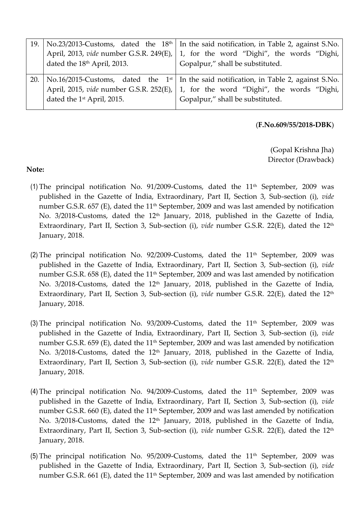|                                         | 19.   No.23/2013-Customs, dated the $18th$   In the said notification, in Table 2, against S.No.                                                                                                                        |
|-----------------------------------------|-------------------------------------------------------------------------------------------------------------------------------------------------------------------------------------------------------------------------|
|                                         | April, 2013, vide number G.S.R. 249(E),   1, for the word "Dighi", the words "Dighi,                                                                                                                                    |
| dated the 18 <sup>th</sup> April, 2013. | Gopalpur," shall be substituted.                                                                                                                                                                                        |
| dated the 1 <sup>st</sup> April, 2015.  | 20.   No.16/2015-Customs, dated the $1st$ In the said notification, in Table 2, against S.No.<br>April, 2015, vide number G.S.R. 252(E), 1, for the word "Dighi", the words "Dighi,<br>Gopalpur," shall be substituted. |

#### (**F.No.609/55/2018-DBK**)

(Gopal Krishna Jha) Director (Drawback)

## **Note:**

- (1) The principal notification No. 91/2009-Customs, dated the  $11<sup>th</sup>$  September, 2009 was published in the Gazette of India, Extraordinary, Part II, Section 3, Sub-section (i), *vide* number G.S.R. 657 (E), dated the 11<sup>th</sup> September, 2009 and was last amended by notification No. 3/2018-Customs, dated the 12<sup>th</sup> January, 2018, published in the Gazette of India, Extraordinary, Part II, Section 3, Sub-section (i), *vide* number G.S.R. 22(E), dated the 12<sup>th</sup> January, 2018.
- (2) The principal notification No. 92/2009-Customs, dated the  $11<sup>th</sup>$  September, 2009 was published in the Gazette of India, Extraordinary, Part II, Section 3, Sub-section (i), *vide*  number G.S.R. 658 (E), dated the  $11<sup>th</sup>$  September, 2009 and was last amended by notification No. 3/2018-Customs, dated the 12<sup>th</sup> January, 2018, published in the Gazette of India, Extraordinary, Part II, Section 3, Sub-section (i), *vide* number G.S.R. 22(E), dated the 12<sup>th</sup> January, 2018.
- (3) The principal notification No. 93/2009-Customs, dated the  $11<sup>th</sup>$  September, 2009 was published in the Gazette of India, Extraordinary, Part II, Section 3, Sub-section (i), *vide* number G.S.R. 659 (E), dated the  $11<sup>th</sup>$  September, 2009 and was last amended by notification No. 3/2018-Customs, dated the 12<sup>th</sup> January, 2018, published in the Gazette of India, Extraordinary, Part II, Section 3, Sub-section (i), *vide* number G.S.R. 22(E), dated the 12<sup>th</sup> January, 2018.
- (4) The principal notification No. 94/2009-Customs, dated the  $11<sup>th</sup>$  September, 2009 was published in the Gazette of India, Extraordinary, Part II, Section 3, Sub-section (i), *vide* number G.S.R. 660 (E), dated the  $11<sup>th</sup>$  September, 2009 and was last amended by notification No. 3/2018-Customs, dated the 12<sup>th</sup> January, 2018, published in the Gazette of India, Extraordinary, Part II, Section 3, Sub-section (i), *vide* number G.S.R. 22(E), dated the 12<sup>th</sup> January, 2018.
- (5) The principal notification No. 95/2009-Customs, dated the  $11<sup>th</sup>$  September, 2009 was published in the Gazette of India, Extraordinary, Part II, Section 3, Sub-section (i), *vide* number G.S.R. 661 (E), dated the 11<sup>th</sup> September, 2009 and was last amended by notification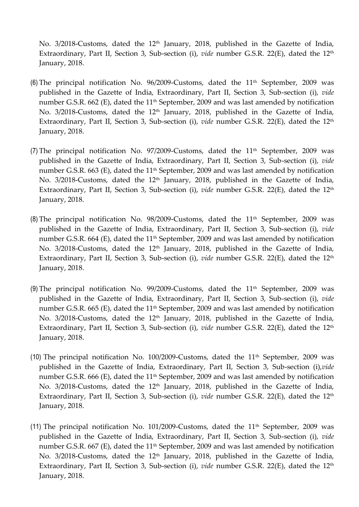No. 3/2018-Customs, dated the 12<sup>th</sup> January, 2018, published in the Gazette of India, Extraordinary, Part II, Section 3, Sub-section (i), *vide* number G.S.R. 22(E), dated the 12<sup>th</sup> January, 2018.

- (6) The principal notification No. 96/2009-Customs, dated the  $11<sup>th</sup>$  September, 2009 was published in the Gazette of India, Extraordinary, Part II, Section 3, Sub-section (i), *vide* number G.S.R. 662 (E), dated the  $11<sup>th</sup>$  September, 2009 and was last amended by notification No. 3/2018-Customs, dated the 12<sup>th</sup> January, 2018, published in the Gazette of India, Extraordinary, Part II, Section 3, Sub-section (i), *vide* number G.S.R. 22(E), dated the 12<sup>th</sup> January, 2018.
- (7) The principal notification No. 97/2009-Customs, dated the  $11<sup>th</sup>$  September, 2009 was published in the Gazette of India, Extraordinary, Part II, Section 3, Sub-section (i), *vide* number G.S.R. 663 (E), dated the  $11<sup>th</sup>$  September, 2009 and was last amended by notification No. 3/2018-Customs, dated the 12<sup>th</sup> January, 2018, published in the Gazette of India, Extraordinary, Part II, Section 3, Sub-section (i), *vide* number G.S.R. 22(E), dated the 12<sup>th</sup> January, 2018.
- (8) The principal notification No. 98/2009-Customs, dated the  $11<sup>th</sup>$  September, 2009 was published in the Gazette of India, Extraordinary, Part II, Section 3, Sub-section (i), *vide* number G.S.R. 664 (E), dated the 11<sup>th</sup> September, 2009 and was last amended by notification No. 3/2018-Customs, dated the 12<sup>th</sup> January, 2018, published in the Gazette of India, Extraordinary, Part II, Section 3, Sub-section (i), *vide* number G.S.R. 22(E), dated the 12<sup>th</sup> January, 2018.
- (9) The principal notification No. 99/2009-Customs, dated the  $11<sup>th</sup>$  September, 2009 was published in the Gazette of India, Extraordinary, Part II, Section 3, Sub-section (i), *vide* number G.S.R. 665 (E), dated the  $11<sup>th</sup>$  September, 2009 and was last amended by notification No. 3/2018-Customs, dated the 12<sup>th</sup> January, 2018, published in the Gazette of India, Extraordinary, Part II, Section 3, Sub-section (i), *vide* number G.S.R. 22(E), dated the 12<sup>th</sup> January, 2018.
- (10) The principal notification No.  $100/2009$ -Customs, dated the  $11<sup>th</sup>$  September, 2009 was published in the Gazette of India, Extraordinary, Part II, Section 3, Sub-section (i),*vide* number G.S.R. 666 (E), dated the  $11<sup>th</sup>$  September, 2009 and was last amended by notification No. 3/2018-Customs, dated the 12<sup>th</sup> January, 2018, published in the Gazette of India, Extraordinary, Part II, Section 3, Sub-section (i), *vide* number G.S.R. 22(E), dated the 12<sup>th</sup> January, 2018.
- (11) The principal notification No. 101/2009-Customs, dated the  $11<sup>th</sup>$  September, 2009 was published in the Gazette of India, Extraordinary, Part II, Section 3, Sub-section (i), *vide* number G.S.R. 667 (E), dated the  $11<sup>th</sup>$  September, 2009 and was last amended by notification No. 3/2018-Customs, dated the 12<sup>th</sup> January, 2018, published in the Gazette of India, Extraordinary, Part II, Section 3, Sub-section (i), *vide* number G.S.R. 22(E), dated the 12<sup>th</sup> January, 2018.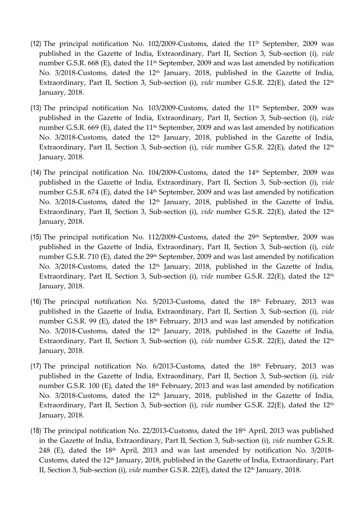- (12) The principal notification No. 102/2009-Customs, dated the  $11<sup>th</sup>$  September, 2009 was published in the Gazette of India, Extraordinary, Part II, Section 3, Sub-section (i), *vide* number G.S.R. 668 (E), dated the  $11<sup>th</sup>$  September, 2009 and was last amended by notification No. 3/2018-Customs, dated the 12<sup>th</sup> January, 2018, published in the Gazette of India, Extraordinary, Part II, Section 3, Sub-section (i), *vide* number G.S.R. 22(E), dated the 12<sup>th</sup> January, 2018.
- (13) The principal notification No. 103/2009-Customs, dated the  $11<sup>th</sup>$  September, 2009 was published in the Gazette of India, Extraordinary, Part II, Section 3, Sub-section (i), *vide* number G.S.R. 669 (E), dated the 11<sup>th</sup> September, 2009 and was last amended by notification No. 3/2018-Customs, dated the 12<sup>th</sup> January, 2018, published in the Gazette of India, Extraordinary, Part II, Section 3, Sub-section (i), *vide* number G.S.R. 22(E), dated the 12<sup>th</sup> January, 2018.
- (14) The principal notification No. 104/2009-Customs, dated the  $14<sup>th</sup>$  September, 2009 was published in the Gazette of India, Extraordinary, Part II, Section 3, Sub-section (i), *vide* number G.S.R. 674 (E), dated the 14<sup>th</sup> September, 2009 and was last amended by notification No. 3/2018-Customs, dated the 12<sup>th</sup> January, 2018, published in the Gazette of India, Extraordinary, Part II, Section 3, Sub-section (i), *vide* number G.S.R. 22(E), dated the 12<sup>th</sup> January, 2018.
- (15) The principal notification No. 112/2009-Customs, dated the  $29<sup>th</sup>$  September, 2009 was published in the Gazette of India, Extraordinary, Part II, Section 3, Sub-section (i), *vide* number G.S.R. 710 (E), dated the 29<sup>th</sup> September, 2009 and was last amended by notification No. 3/2018-Customs, dated the 12<sup>th</sup> January, 2018, published in the Gazette of India, Extraordinary, Part II, Section 3, Sub-section (i), *vide* number G.S.R. 22(E), dated the 12<sup>th</sup> January, 2018.
- (16) The principal notification No.  $5/2013$ -Customs, dated the  $18<sup>th</sup>$  February, 2013 was published in the Gazette of India, Extraordinary, Part II, Section 3, Sub-section (i), *vide* number G.S.R. 99 (E), dated the  $18<sup>th</sup>$  February, 2013 and was last amended by notification No. 3/2018-Customs, dated the 12<sup>th</sup> January, 2018, published in the Gazette of India, Extraordinary, Part II, Section 3, Sub-section (i), *vide* number G.S.R. 22(E), dated the 12<sup>th</sup> January, 2018.
- (17) The principal notification No.  $6/2013$ -Customs, dated the  $18<sup>th</sup>$  February, 2013 was published in the Gazette of India, Extraordinary, Part II, Section 3, Sub-section (i), *vide* number G.S.R. 100 (E), dated the  $18<sup>th</sup>$  February, 2013 and was last amended by notification No. 3/2018-Customs, dated the 12<sup>th</sup> January, 2018, published in the Gazette of India, Extraordinary, Part II, Section 3, Sub-section (i), *vide* number G.S.R. 22(E), dated the 12<sup>th</sup> January, 2018.
- (18) The principal notification No. 22/2013-Customs, dated the  $18<sup>th</sup>$  April, 2013 was published in the Gazette of India, Extraordinary, Part II, Section 3, Sub-section (i), *vide* number G.S.R. 248 (E), dated the  $18<sup>th</sup>$  April, 2013 and was last amended by notification No. 3/2018-Customs, dated the 12<sup>th</sup> January, 2018, published in the Gazette of India, Extraordinary, Part II, Section 3, Sub-section (i), *vide* number G.S.R. 22(E), dated the 12th January, 2018.